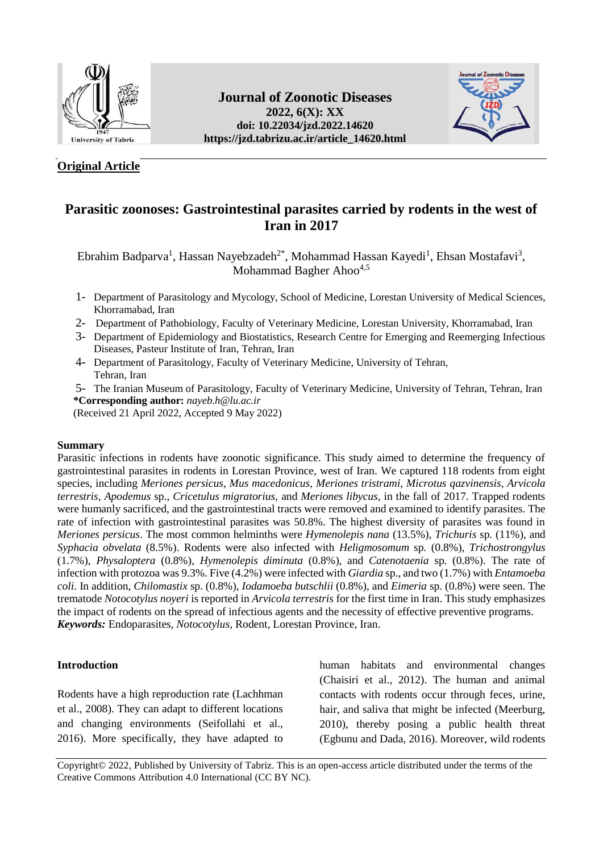

# **Original Article**

# **Journal of Zoonotic Diseases 2022, 6(X): XX doi: [10.22034/jzd.2022.14620](https://dx.doi.org/10.22034/jzd.2022.14620) https://jzd.tabrizu.ac.ir/article\_14620.html**



# **Parasitic zoonoses: Gastrointestinal parasites carried by rodents in the west of Iran in 2017**

Ebrahim Badparva<sup>1</sup>, Hassan Nayebzadeh<sup>2\*</sup>, Mohammad Hassan Kayedi<sup>1</sup>, Ehsan Mostafavi<sup>3</sup>, Mohammad Bagher Ahoo<sup>4,5</sup>

- 1- Department of Parasitology and Mycology, School of Medicine, Lorestan University of Medical Sciences, Khorramabad, Iran
- 2- Department of Pathobiology, Faculty of Veterinary Medicine, Lorestan University, Khorramabad, Iran
- 3- Department of Epidemiology and Biostatistics, Research Centre for Emerging and Reemerging Infectious Diseases, Pasteur Institute of Iran, Tehran, Iran
- 4- Department of Parasitology, Faculty of Veterinary Medicine, University of Tehran, Tehran, Iran
- 5- The Iranian Museum of Parasitology, Faculty of Veterinary Medicine, University of Tehran, Tehran, Iran  **\*Corresponding author:** *[nayeb.h@lu.ac.ir](mailto:nayeb.h@lu.ac.ir)*

(Received 21 April 2022, Accepted 9 May 2022)

# **Summary**

Parasitic infections in rodents have zoonotic significance. This study aimed to determine the frequency of gastrointestinal parasites in rodents in Lorestan Province, west of Iran. We captured 118 rodents from eight species, including *Meriones persicus*, *Mus macedonicus*, *Meriones tristrami*, *Microtus qazvinensis*, *Arvicola terrestris*, *Apodemus* sp., *Cricetulus migratorius,* and *Meriones libycus*, in the fall of 2017. Trapped rodents were humanly sacrificed, and the gastrointestinal tracts were removed and examined to identify parasites. The rate of infection with gastrointestinal parasites was 50.8%. The highest diversity of parasites was found in *Meriones persicus*. The most common helminths were *Hymenolepis nana* (13.5%), *Trichuris* sp*.* (11%), and *Syphacia obvelata* (8.5%). Rodents were also infected with *Heligmosomum* sp*.* (0.8%), *Trichostrongylus* (1.7%), *Physaloptera* (0.8%), *Hymenolepis diminuta* (0.8%), and *Catenotaenia* sp*.* (0.8%). The rate of infection with protozoa was 9.3%. Five (4.2%) were infected with *Giardia* sp., and two (1.7%) with *Entamoeba coli*. In addition, *Chilomastix* sp. (0.8%), *Iodamoeba butschlii* (0.8%), and *Eimeria* sp. (0.8%) were seen. The trematode *Notocotylus noyeri* is reported in *Arvicola terrestris* for the first time in Iran. This study emphasizes the impact of rodents on the spread of infectious agents and the necessity of effective preventive programs. *Keywords:* Endoparasites, *Notocotylus*, Rodent, Lorestan Province, Iran.

## **Introduction**

Rodents have a high reproduction rate (Lachhman et al., 2008). They can adapt to different locations and changing environments (Seifollahi et al., 2016). More specifically, they have adapted to

human habitats and environmental changes (Chaisiri et al., 2012). The human and animal contacts with rodents occur through feces, urine, hair, and saliva that might be infected (Meerburg, 2010), thereby posing a public health threat (Egbunu and Dada, 2016). Moreover, wild rodents

Copyright© 2022, Published by University of Tabriz. This is an open-access article distributed under the terms of the Creative Commons Attribution 4.0 International (CC BY NC).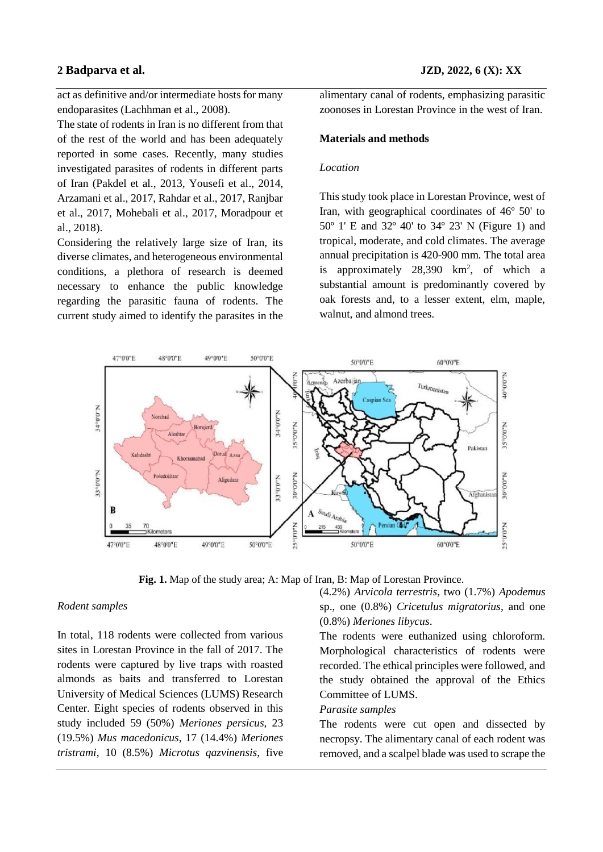act as definitive and/or intermediate hosts for many endoparasites (Lachhman et al., 2008).

The state of rodents in Iran is no different from that of the rest of the world and has been adequately reported in some cases. Recently, many studies investigated parasites of rodents in different parts of Iran (Pakdel et al., 2013, Yousefi et al., 2014, Arzamani et al., 2017, Rahdar et al., 2017, Ranjbar et al., 2017, Mohebali et al., 2017, Moradpour et al., 2018).

Considering the relatively large size of Iran, its diverse climates, and heterogeneous environmental conditions, a plethora of research is deemed necessary to enhance the public knowledge regarding the parasitic fauna of rodents. The current study aimed to identify the parasites in the alimentary canal of rodents, emphasizing parasitic zoonoses in Lorestan Province in the west of Iran.

### **Materials and methods**

### *Location*

This study took place in Lorestan Province, west of Iran, with geographical coordinates of 46º 50' to 50º 1' E and 32º 40' to 34º 23' N (Figure 1) and tropical, moderate, and cold climates. The average annual precipitation is 420-900 mm. The total area is approximately  $28,390 \text{ km}^2$ , of which a substantial amount is predominantly covered by oak forests and, to a lesser extent, elm, maple, walnut, and almond trees.



**Fig. 1.** Map of the study area; A: Map of Iran, B: Map of Lorestan Province.

### *Rodent samples*

In total, 118 rodents were collected from various sites in Lorestan Province in the fall of 2017. The rodents were captured by live traps with roasted almonds as baits and transferred to Lorestan University of Medical Sciences (LUMS) Research Center. Eight species of rodents observed in this study included 59 (50%) *Meriones persicus*, 23 (19.5%) *Mus macedonicus*, 17 (14.4%) *Meriones tristrami*, 10 (8.5%) *Microtus qazvinensis*, five (4.2%) *Arvicola terrestris*, two (1.7%) *Apodemus*  sp., one (0.8%) *Cricetulus migratorius*, and one (0.8%) *Meriones libycus*.

The rodents were euthanized using chloroform. Morphological characteristics of rodents were recorded. The ethical principles were followed, and the study obtained the approval of the Ethics Committee of LUMS.

# *Parasite samples*

The rodents were cut open and dissected by necropsy. The alimentary canal of each rodent was removed, and a scalpel blade was used to scrape the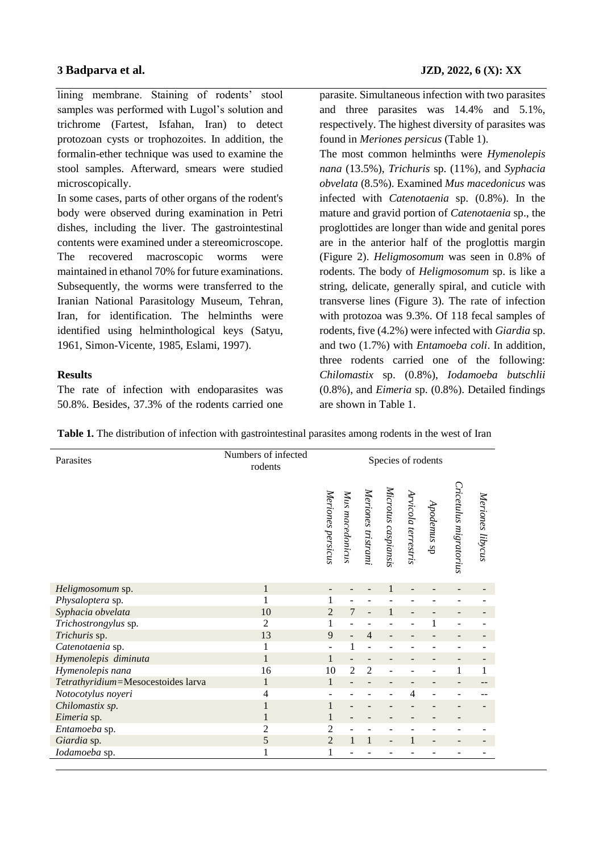lining membrane. Staining of rodents' stool samples was performed with Lugol's solution and trichrome (Fartest, Isfahan, Iran) to detect protozoan cysts or trophozoites. In addition, the formalin-ether technique was used to examine the stool samples. Afterward, smears were studied microscopically.

In some cases, parts of other organs of the rodent's body were observed during examination in Petri dishes, including the liver. The gastrointestinal contents were examined under a stereomicroscope. The recovered macroscopic worms were maintained in ethanol 70% for future examinations. Subsequently, the worms were transferred to the Iranian National Parasitology Museum, Tehran, Iran, for identification. The helminths were identified using helminthological keys (Satyu, 1961, Simon-Vicente, 1985, Eslami, 1997).

# **Results**

The rate of infection with endoparasites was 50.8%. Besides, 37.3% of the rodents carried one parasite. Simultaneous infection with two parasites and three parasites was 14.4% and 5.1%, respectively. The highest diversity of parasites was found in *Meriones persicus* (Table 1).

The most common helminths were *Hymenolepis nana* (13.5%), *Trichuris* sp. (11%), and *Syphacia obvelata* (8.5%). Examined *Mus macedonicus* was infected with *Catenotaenia* sp. (0.8%). In the mature and gravid portion of *Catenotaenia* sp., the proglottides are longer than wide and genital pores are in the anterior half of the proglottis margin (Figure 2). *Heligmosomum* was seen in 0.8% of rodents. The body of *Heligmosomum* sp. is like a string, delicate, generally spiral, and cuticle with transverse lines (Figure 3). The rate of infection with protozoa was 9.3%. Of 118 fecal samples of rodents, five (4.2%) were infected with *Giardia* sp. and two (1.7%) with *Entamoeba coli*. In addition, three rodents carried one of the following: *Chilomastix* sp. (0.8%), *Iodamoeba butschlii* (0.8%), and *Eimeria* sp. (0.8%). Detailed findings are shown in Table 1.

| Parasites                          | Numbers of infected<br>rodents | Species of rodents |                   |                    |                     |                     |             |                        |                  |
|------------------------------------|--------------------------------|--------------------|-------------------|--------------------|---------------------|---------------------|-------------|------------------------|------------------|
|                                    |                                | Meriones persicus  | Mus macedonicus   | Meriones tristrami | Microtus caspiansis | Arvicola terrestris | Apodemus sp | Cricetulus migratorius | Meriones libycus |
| Heligmosomum sp.                   | $\mathbf{1}$                   |                    |                   |                    |                     |                     |             |                        |                  |
| Physaloptera sp.                   | 1                              |                    |                   |                    |                     |                     |             |                        |                  |
| Syphacia obvelata                  | 10                             | $\overline{2}$     | 7                 |                    |                     |                     |             |                        |                  |
| Trichostrongylus sp.               | $\overline{2}$                 |                    |                   |                    |                     |                     |             |                        |                  |
| Trichuris sp.                      | 13                             | 9                  | $\qquad \qquad -$ | $\overline{4}$     |                     |                     |             |                        |                  |
| Catenotaenia sp.                   | 1                              |                    | $\mathbf{1}$      |                    |                     |                     |             |                        |                  |
| Hymenolepis diminuta               | $\mathbf{1}$                   | 1                  |                   |                    |                     |                     |             |                        |                  |
| Hymenolepis nana                   | 16                             | 10                 | $\overline{2}$    | $\overline{2}$     |                     |                     |             | 1                      | 1                |
| Tetrathyridium=Mesocestoides larva | $\mathbf{1}$                   | 1                  |                   |                    |                     |                     |             |                        |                  |
| Notocotylus noyeri                 | 4                              |                    |                   |                    |                     | 4                   |             |                        |                  |
| Chilomastix sp.                    | 1                              |                    |                   |                    |                     |                     |             |                        |                  |
| Eimeria sp.                        | $\mathbf{1}$                   |                    |                   |                    |                     |                     |             |                        |                  |
| Entamoeba sp.                      | $\overline{2}$                 | 2                  |                   |                    |                     |                     |             |                        |                  |
| Giardia sp.                        | 5                              | $\overline{2}$     | $\mathbf{1}$      | 1                  |                     |                     |             |                        |                  |
| Iodamoeba sp.                      | 1                              |                    |                   |                    |                     |                     |             |                        |                  |

**Table 1.** The distribution of infection with gastrointestinal parasites among rodents in the west of Iran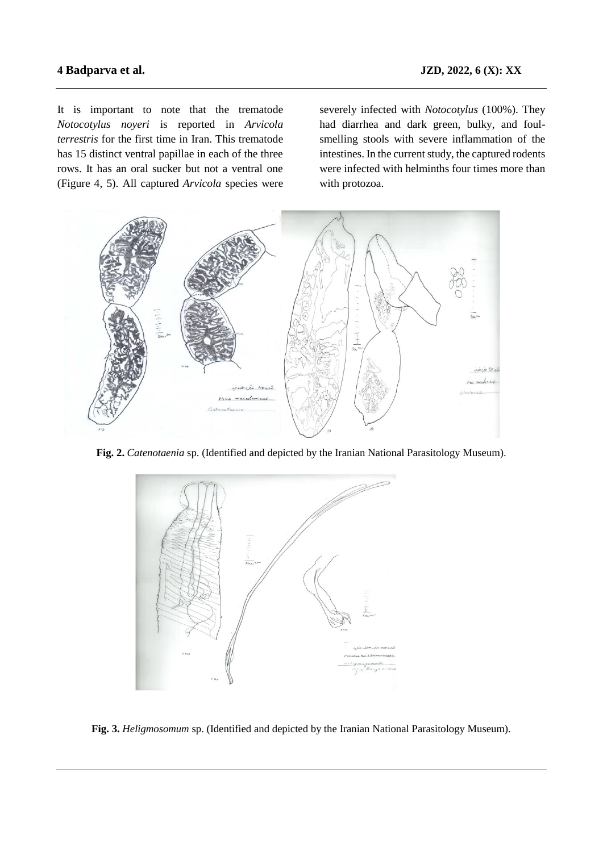It is important to note that the trematode *Notocotylus noyeri* is reported in *Arvicola terrestris* for the first time in Iran. This trematode has 15 distinct ventral papillae in each of the three rows. It has an oral sucker but not a ventral one (Figure 4, 5). All captured *Arvicola* species were

severely infected with *Notocotylus* (100%). They had diarrhea and dark green, bulky, and foulsmelling stools with severe inflammation of the intestines. In the current study, the captured rodents were infected with helminths four times more than with protozoa.



**Fig. 2.** *Catenotaenia* sp. (Identified and depicted by the Iranian National Parasitology Museum).



**Fig. 3.** *Heligmosomum* sp. (Identified and depicted by the Iranian National Parasitology Museum).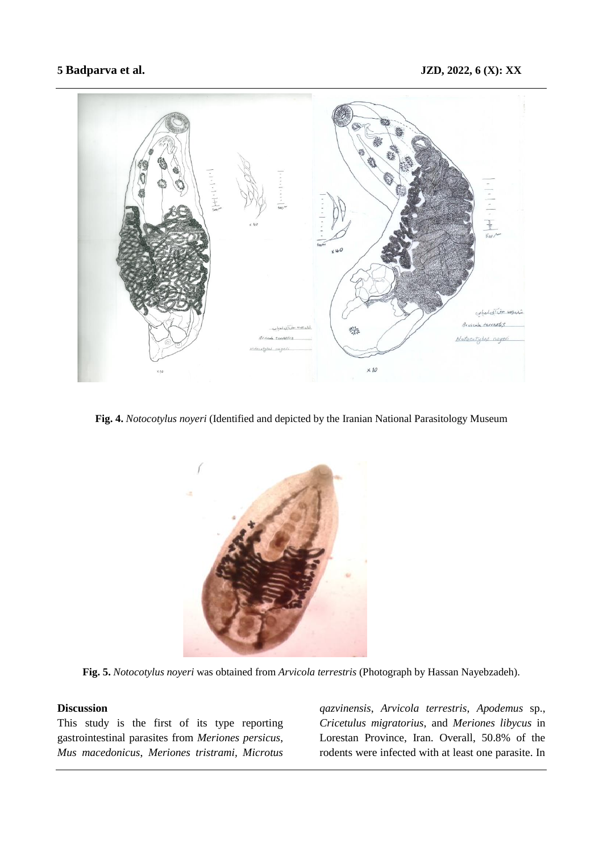

**Fig. 4.** *Notocotylus noyeri* (Identified and depicted by the Iranian National Parasitology Museum



**Fig. 5.** *Notocotylus noyeri* was obtained from *Arvicola terrestris* (Photograph by Hassan Nayebzadeh).

# **Discussion**

This study is the first of its type reporting gastrointestinal parasites from *Meriones persicus*, *Mus macedonicus*, *Meriones tristrami, Microtus* 

*qazvinensis*, *Arvicola terrestris*, *Apodemus* sp., *Cricetulus migratorius*, and *Meriones libycus* in Lorestan Province, Iran. Overall, 50.8% of the rodents were infected with at least one parasite. In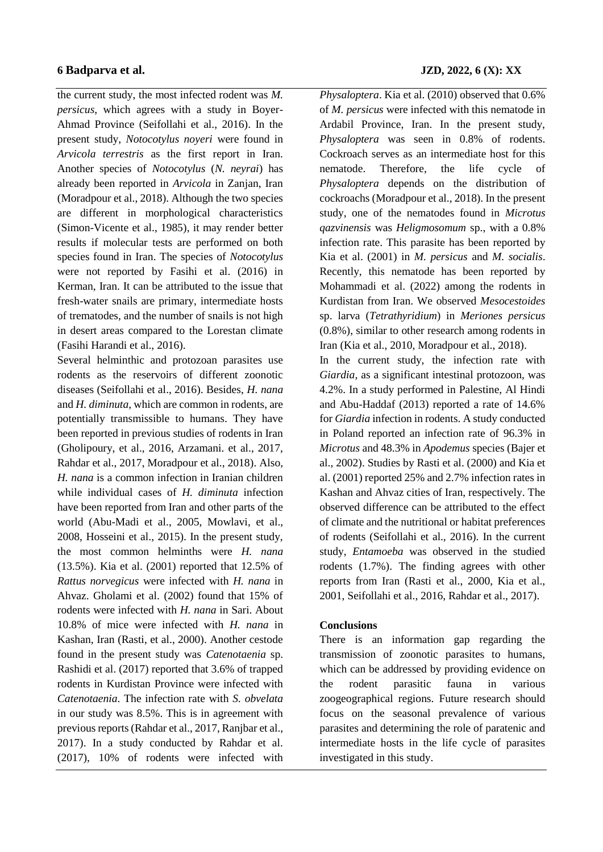the current study, the most infected rodent was *M. persicus*, which agrees with a study in Boyer-Ahmad Province (Seifollahi et al., 2016). In the present study, *Notocotylus noyeri* were found in *Arvicola terrestris* as the first report in Iran. Another species of *Notocotylus* (*N. neyrai*) has already been reported in *Arvicola* in Zanjan, Iran (Moradpour et al., 2018). Although the two species are different in morphological characteristics (Simon-Vicente et al., 1985), it may render better results if molecular tests are performed on both species found in Iran. The species of *Notocotylus* were not reported by Fasihi et al. (2016) in Kerman, Iran. It can be attributed to the issue that fresh-water snails are primary, intermediate hosts of trematodes, and the number of snails is not high in desert areas compared to the Lorestan climate (Fasihi Harandi et al., 2016).

Several helminthic and protozoan parasites use rodents as the reservoirs of different zoonotic diseases (Seifollahi et al., 2016). Besides, *H. nana* and *H. diminuta*, which are common in rodents, are potentially transmissible to humans. They have been reported in previous studies of rodents in Iran (Gholipoury, et al., 2016, Arzamani. et al., 2017, Rahdar et al., 2017, Moradpour et al., 2018). Also, *H. nana* is a common infection in Iranian children while individual cases of *H. diminuta* infection have been reported from Iran and other parts of the world (Abu-Madi et al., 2005, Mowlavi, et al., 2008, Hosseini et al., 2015). In the present study, the most common helminths were *H. nana* (13.5%). Kia et al. (2001) reported that 12.5% of *Rattus norvegicus* were infected with *H. nana* in Ahvaz. Gholami et al. (2002) found that 15% of rodents were infected with *H. nana* in Sari. About 10.8% of mice were infected with *H. nana* in Kashan, Iran (Rasti, et al., 2000). Another cestode found in the present study was *Catenotaenia* sp. Rashidi et al. (2017) reported that 3.6% of trapped rodents in Kurdistan Province were infected with *Catenotaenia*. The infection rate with *S. obvelata* in our study was 8.5%. This is in agreement with previous reports (Rahdar et al., 2017, Ranjbar et al., 2017). In a study conducted by Rahdar et al. (2017), 10% of rodents were infected with *Physaloptera*. Kia et al. (2010) observed that 0.6% of *M. persicus* were infected with this nematode in Ardabil Province, Iran. In the present study, *Physaloptera* was seen in 0.8% of rodents. Cockroach serves as an intermediate host for this nematode. Therefore, the life cycle of *Physaloptera* depends on the distribution of cockroachs (Moradpour et al., 2018). In the present study, one of the nematodes found in *Microtus qazvinensis* was *Heligmosomum* sp., with a 0.8% infection rate. This parasite has been reported by Kia et al. (2001) in *M. persicus* and *M. socialis*. Recently, this nematode has been reported by Mohammadi et al. (2022) among the rodents in Kurdistan from Iran. We observed *Mesocestoides* sp. larva (*Tetrathyridium*) in *Meriones persicus* (0.8%), similar to other research among rodents in Iran (Kia et al., 2010, Moradpour et al., 2018).

In the current study, the infection rate with *Giardia*, as a significant intestinal protozoon, was 4.2%. In a study performed in Palestine, Al Hindi and Abu-Haddaf (2013) reported a rate of 14.6% for *Giardia* infection in rodents. A study conducted in Poland reported an infection rate of 96.3% in *Microtus* and 48.3% in *Apodemus* species (Bajer et al., 2002). Studies by Rasti et al. (2000) and Kia et al. (2001) reported 25% and 2.7% infection rates in Kashan and Ahvaz cities of Iran, respectively. The observed difference can be attributed to the effect of climate and the nutritional or habitat preferences of rodents (Seifollahi et al., 2016). In the current study, *Entamoeba* was observed in the studied rodents (1.7%). The finding agrees with other reports from Iran (Rasti et al., 2000, Kia et al., 2001, Seifollahi et al., 2016, Rahdar et al., 2017).

# **Conclusions**

There is an information gap regarding the transmission of zoonotic parasites to humans, which can be addressed by providing evidence on the rodent parasitic fauna in various zoogeographical regions. Future research should focus on the seasonal prevalence of various parasites and determining the role of paratenic and intermediate hosts in the life cycle of parasites investigated in this study.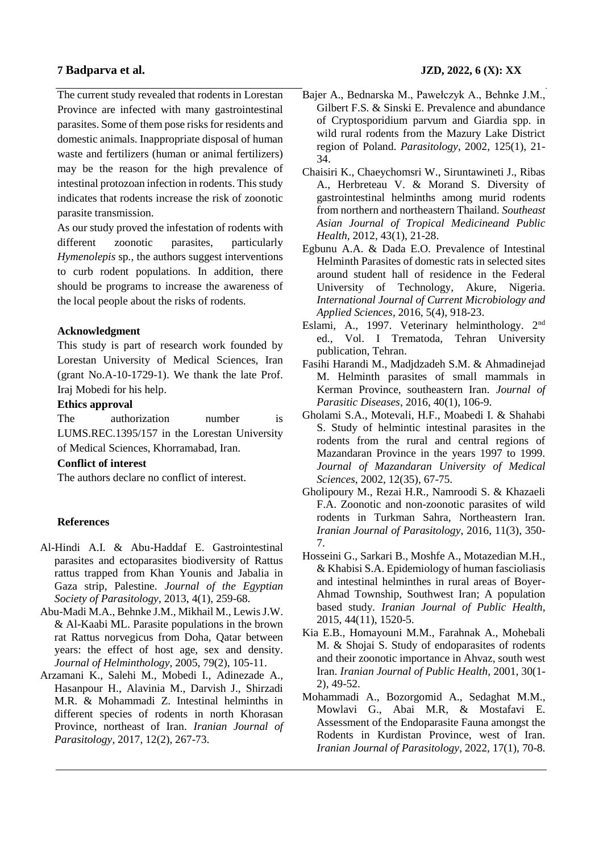The current study revealed that rodents in Lorestan Province are infected with many gastrointestinal parasites. Some of them pose risks for residents and domestic animals. Inappropriate disposal of human waste and fertilizers (human or animal fertilizers) may be the reason for the high prevalence of intestinal protozoan infection in rodents. This study indicates that rodents increase the risk of zoonotic parasite transmission.

As our study proved the infestation of rodents with different zoonotic parasites, particularly *Hymenolepis* sp*.*, the authors suggest interventions to curb rodent populations. In addition, there should be programs to increase the awareness of the local people about the risks of rodents.

## **Acknowledgment**

This study is part of research work founded by Lorestan University of Medical Sciences, Iran (grant No.A-10-1729-1). We thank the late Prof. Iraj Mobedi for his help.

### **Ethics approval**

The authorization number is LUMS.REC.1395/157 in the Lorestan University of Medical Sciences, Khorramabad, Iran.

## **Conflict of interest**

The authors declare no conflict of interest.

## **References**

- Al-Hindi A.I. & Abu-Haddaf E. Gastrointestinal parasites and ectoparasites biodiversity of Rattus rattus trapped from Khan Younis and Jabalia in Gaza strip, Palestine. *Journal of the Egyptian Society of Parasitology*, 2013, 4(1), 259-68.
- Abu-Madi M.A., Behnke J.M., Mikhail M., Lewis J.W. & Al-Kaabi ML. Parasite populations in the brown rat Rattus norvegicus from Doha, Qatar between years: the effect of host age, sex and density. *Journal of Helminthology*, 2005, 79(2), 105-11.
- Arzamani K., Salehi M., Mobedi I., Adinezade A., Hasanpour H., Alavinia M., Darvish J., Shirzadi M.R. & Mohammadi Z. Intestinal helminths in different species of rodents in north Khorasan Province, northeast of Iran. *Iranian Journal of Parasitology*, 2017, 12(2), 267-73.
- Bajer A., Bednarska M., Pawełczyk A., Behnke J.M., Gilbert F.S. & Sinski E. Prevalence and abundance of Cryptosporidium parvum and Giardia spp. in wild rural rodents from the Mazury Lake District region of Poland. *Parasitology*, 2002, 125(1), 21- 34.
- Chaisiri K., Chaeychomsri W., Siruntawineti J., Ribas A., Herbreteau V. & Morand S. Diversity of gastrointestinal helminths among murid rodents from northern and northeastern Thailand. *Southeast Asian Journal of Tropical Medicineand Public Health*, 2012, 43(1), 21-28.
- Egbunu A.A. & Dada E.O. Prevalence of Intestinal Helminth Parasites of domestic rats in selected sites around student hall of residence in the Federal University of Technology, Akure, Nigeria. *International Journal of Current Microbiology and Applied Sciences*, 2016, 5(4), 918-23.
- Eslami, A., 1997. Veterinary helminthology. 2nd ed., Vol. I Trematoda, Tehran University publication, Tehran.
- Fasihi Harandi M., Madjdzadeh S.M. & Ahmadinejad M. Helminth parasites of small mammals in Kerman Province, southeastern Iran. *Journal of Parasitic Diseases*, 2016, 40(1), 106-9.
- Gholami S.A., Motevali, H.F., Moabedi I. & Shahabi S. Study of helmintic intestinal parasites in the rodents from the rural and central regions of Mazandaran Province in the years 1997 to 1999. *Journal of Mazandaran University of Medical Sciences*, 2002, 12(35), 67-75.
- Gholipoury M., Rezai H.R., Namroodi S. & Khazaeli F.A. Zoonotic and non-zoonotic parasites of wild rodents in Turkman Sahra, Northeastern Iran*. Iranian Journal of Parasitology*, 2016, 11(3), 350- 7.
- Hosseini G., Sarkari B., Moshfe A., Motazedian M.H., & Khabisi S.A. Epidemiology of human fascioliasis and intestinal helminthes in rural areas of Boyer-Ahmad Township, Southwest Iran; A population based study*. Iranian Journal of Public Health*, 2015, 44(11), 1520-5.
- Kia E.B., Homayouni M.M., Farahnak A., Mohebali M. & Shojai S. Study of endoparasites of rodents and their zoonotic importance in Ahvaz, south west Iran. *Iranian Journal of Public Health*, 2001, 30(1- 2), 49-52.
- Mohammadi A., Bozorgomid A., Sedaghat M.M., Mowlavi G., Abai M.R, & Mostafavi E. Assessment of the Endoparasite Fauna amongst the Rodents in Kurdistan Province, west of Iran. *Iranian Journal of Parasitology*, 2022, 17(1), 70-8.